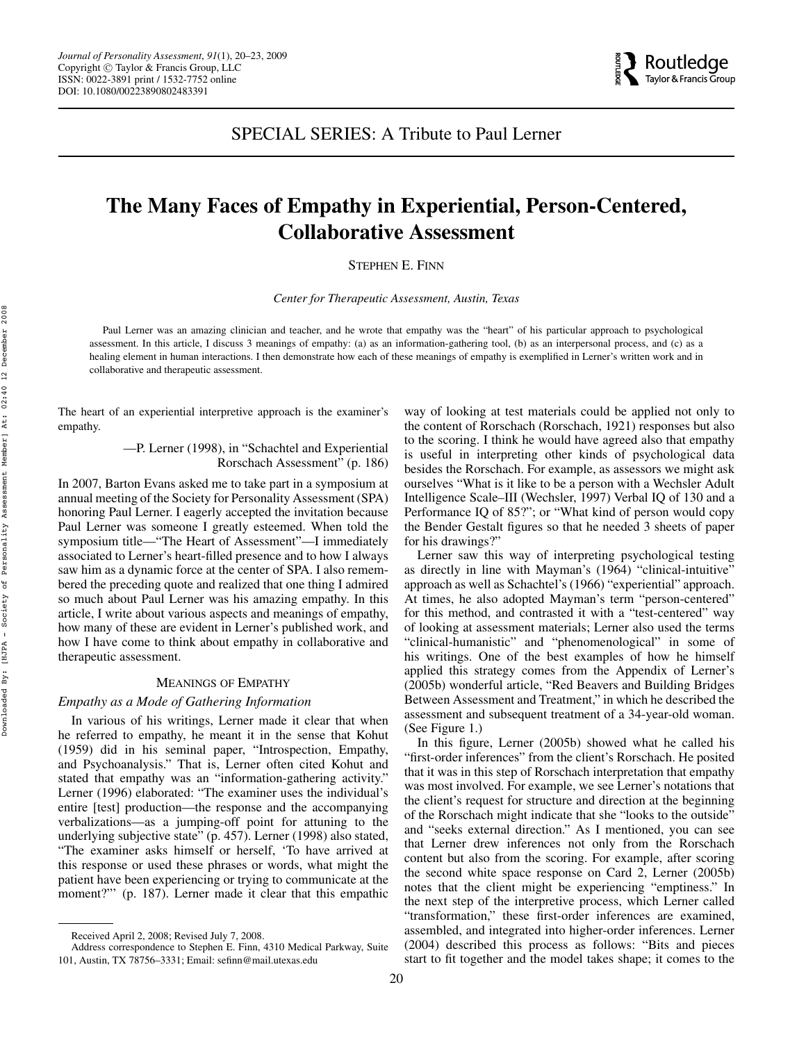

SPECIAL SERIES: A Tribute to Paul Lerner

# **The Many Faces of Empathy in Experiential, Person-Centered, Collaborative Assessment**

STEPHEN E. FINN

*Center for Therapeutic Assessment, Austin, Texas*

Paul Lerner was an amazing clinician and teacher, and he wrote that empathy was the "heart" of his particular approach to psychological assessment. In this article, I discuss 3 meanings of empathy: (a) as an information-gathering tool, (b) as an interpersonal process, and (c) as a healing element in human interactions. I then demonstrate how each of these meanings of empathy is exemplified in Lerner's written work and in collaborative and therapeutic assessment.

The heart of an experiential interpretive approach is the examiner's empathy.

> —P. Lerner (1998), in "Schachtel and Experiential Rorschach Assessment" (p. 186)

In 2007, Barton Evans asked me to take part in a symposium at annual meeting of the Society for Personality Assessment (SPA) honoring Paul Lerner. I eagerly accepted the invitation because Paul Lerner was someone I greatly esteemed. When told the symposium title—"The Heart of Assessment"—I immediately associated to Lerner's heart-filled presence and to how I always saw him as a dynamic force at the center of SPA. I also remembered the preceding quote and realized that one thing I admired so much about Paul Lerner was his amazing empathy. In this article, I write about various aspects and meanings of empathy, how many of these are evident in Lerner's published work, and how I have come to think about empathy in collaborative and therapeutic assessment.

# MEANINGS OF EMPATHY

# *Empathy as a Mode of Gathering Information*

In various of his writings, Lerner made it clear that when he referred to empathy, he meant it in the sense that Kohut (1959) did in his seminal paper, "Introspection, Empathy, and Psychoanalysis." That is, Lerner often cited Kohut and stated that empathy was an "information-gathering activity." Lerner (1996) elaborated: "The examiner uses the individual's entire [test] production—the response and the accompanying verbalizations—as a jumping-off point for attuning to the underlying subjective state" (p. 457). Lerner (1998) also stated, "The examiner asks himself or herself, 'To have arrived at this response or used these phrases or words, what might the patient have been experiencing or trying to communicate at the moment?"" (p. 187). Lerner made it clear that this empathic way of looking at test materials could be applied not only to the content of Rorschach (Rorschach, 1921) responses but also to the scoring. I think he would have agreed also that empathy is useful in interpreting other kinds of psychological data besides the Rorschach. For example, as assessors we might ask ourselves "What is it like to be a person with a Wechsler Adult Intelligence Scale–III (Wechsler, 1997) Verbal IQ of 130 and a Performance IQ of 85?"; or "What kind of person would copy the Bender Gestalt figures so that he needed 3 sheets of paper for his drawings?"

Lerner saw this way of interpreting psychological testing as directly in line with Mayman's (1964) "clinical-intuitive" approach as well as Schachtel's (1966) "experiential" approach. At times, he also adopted Mayman's term "person-centered" for this method, and contrasted it with a "test-centered" way of looking at assessment materials; Lerner also used the terms "clinical-humanistic" and "phenomenological" in some of his writings. One of the best examples of how he himself applied this strategy comes from the Appendix of Lerner's (2005b) wonderful article, "Red Beavers and Building Bridges Between Assessment and Treatment," in which he described the assessment and subsequent treatment of a 34-year-old woman. (See Figure 1.)

In this figure, Lerner (2005b) showed what he called his "first-order inferences" from the client's Rorschach. He posited that it was in this step of Rorschach interpretation that empathy was most involved. For example, we see Lerner's notations that the client's request for structure and direction at the beginning of the Rorschach might indicate that she "looks to the outside" and "seeks external direction." As I mentioned, you can see that Lerner drew inferences not only from the Rorschach content but also from the scoring. For example, after scoring the second white space response on Card 2, Lerner (2005b) notes that the client might be experiencing "emptiness." In the next step of the interpretive process, which Lerner called "transformation," these first-order inferences are examined, assembled, and integrated into higher-order inferences. Lerner (2004) described this process as follows: "Bits and pieces start to fit together and the model takes shape; it comes to the

Received April 2, 2008; Revised July 7, 2008.

Address correspondence to Stephen E. Finn, 4310 Medical Parkway, Suite 101, Austin, TX 78756–3331; Email: sefinn@mail.utexas.edu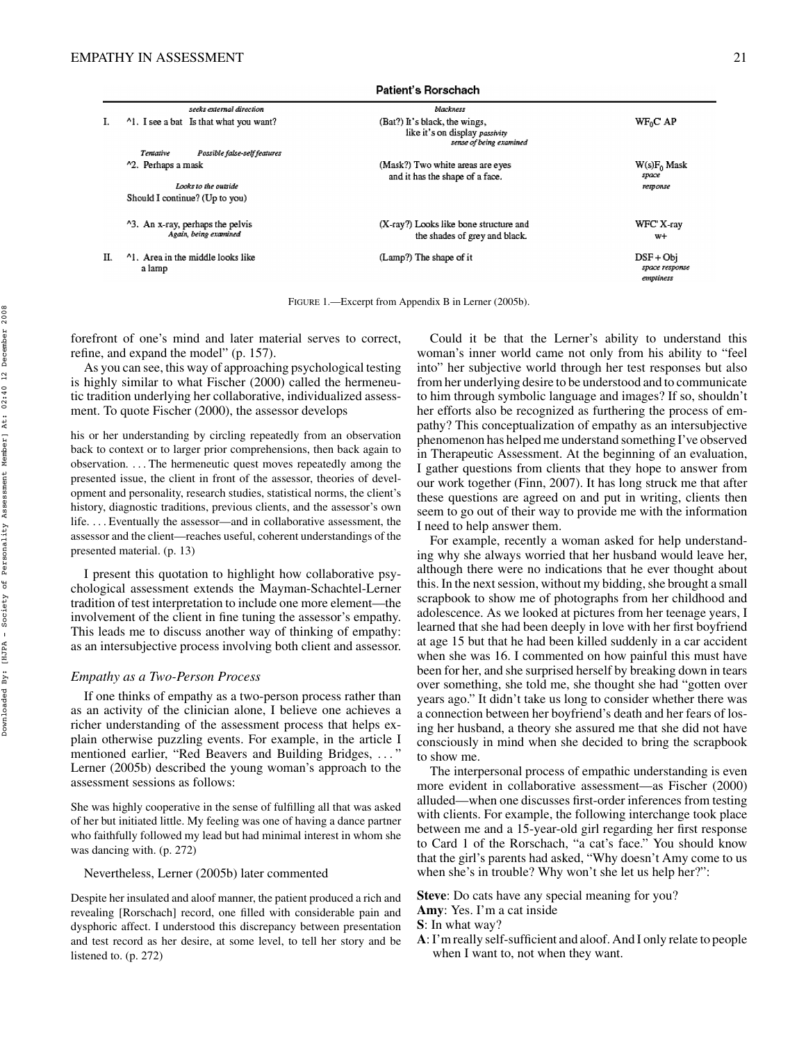|    | seeks external direction                                              | blackness                                                                                  |                                            |
|----|-----------------------------------------------------------------------|--------------------------------------------------------------------------------------------|--------------------------------------------|
|    | <sup>1</sup> 1. I see a bat Is that what you want?                    | (Bat?) It's black, the wings,<br>like it's on display passivity<br>sense of being examined | $WF_0C$ AP                                 |
|    | Possible false-self features<br>Tentative                             |                                                                                            |                                            |
|    | <sup>1</sup> 2. Perhaps a mask                                        | (Mask?) Two white areas are eyes<br>and it has the shape of a face.                        | $W(s)F_0$ Mask<br>spoce                    |
|    | Looks to the outside                                                  |                                                                                            | response                                   |
|    | Should I continue? (Up to you)                                        |                                                                                            |                                            |
|    | <sup>1</sup> 3. An x-ray, perhaps the pelvis<br>Again, being examined | (X-ray?) Looks like bone structure and<br>the shades of grey and black.                    | WFC X-ray<br>$W+$                          |
| П. | <sup>1</sup> 1. Area in the middle looks like<br>a lamp               | (Lamp?) The shape of it                                                                    | $DSF + Obi$<br>space response<br>emptiness |

Patient's Rorschach

FIGURE 1.—Excerpt from Appendix B in Lerner (2005b).

forefront of one's mind and later material serves to correct, refine, and expand the model" (p. 157).

As you can see, this way of approaching psychological testing is highly similar to what Fischer (2000) called the hermeneutic tradition underlying her collaborative, individualized assessment. To quote Fischer (2000), the assessor develops

his or her understanding by circling repeatedly from an observation back to context or to larger prior comprehensions, then back again to observation. . . . The hermeneutic quest moves repeatedly among the presented issue, the client in front of the assessor, theories of development and personality, research studies, statistical norms, the client's history, diagnostic traditions, previous clients, and the assessor's own life. . . . Eventually the assessor—and in collaborative assessment, the assessor and the client—reaches useful, coherent understandings of the presented material. (p. 13)

I present this quotation to highlight how collaborative psychological assessment extends the Mayman-Schachtel-Lerner tradition of test interpretation to include one more element—the involvement of the client in fine tuning the assessor's empathy. This leads me to discuss another way of thinking of empathy: as an intersubjective process involving both client and assessor.

# *Empathy as a Two-Person Process*

If one thinks of empathy as a two-person process rather than as an activity of the clinician alone, I believe one achieves a richer understanding of the assessment process that helps explain otherwise puzzling events. For example, in the article I mentioned earlier, "Red Beavers and Building Bridges, . . . " Lerner (2005b) described the young woman's approach to the assessment sessions as follows:

She was highly cooperative in the sense of fulfilling all that was asked of her but initiated little. My feeling was one of having a dance partner who faithfully followed my lead but had minimal interest in whom she was dancing with. (p. 272)

#### Nevertheless, Lerner (2005b) later commented

Despite her insulated and aloof manner, the patient produced a rich and revealing [Rorschach] record, one filled with considerable pain and dysphoric affect. I understood this discrepancy between presentation and test record as her desire, at some level, to tell her story and be listened to. (p. 272)

Could it be that the Lerner's ability to understand this woman's inner world came not only from his ability to "feel into" her subjective world through her test responses but also from her underlying desire to be understood and to communicate to him through symbolic language and images? If so, shouldn't her efforts also be recognized as furthering the process of empathy? This conceptualization of empathy as an intersubjective phenomenon has helped me understand something I've observed in Therapeutic Assessment. At the beginning of an evaluation, I gather questions from clients that they hope to answer from our work together (Finn, 2007). It has long struck me that after these questions are agreed on and put in writing, clients then seem to go out of their way to provide me with the information I need to help answer them.

For example, recently a woman asked for help understanding why she always worried that her husband would leave her, although there were no indications that he ever thought about this. In the next session, without my bidding, she brought a small scrapbook to show me of photographs from her childhood and adolescence. As we looked at pictures from her teenage years, I learned that she had been deeply in love with her first boyfriend at age 15 but that he had been killed suddenly in a car accident when she was 16. I commented on how painful this must have been for her, and she surprised herself by breaking down in tears over something, she told me, she thought she had "gotten over years ago." It didn't take us long to consider whether there was a connection between her boyfriend's death and her fears of losing her husband, a theory she assured me that she did not have consciously in mind when she decided to bring the scrapbook to show me.

The interpersonal process of empathic understanding is even more evident in collaborative assessment—as Fischer (2000) alluded—when one discusses first-order inferences from testing with clients. For example, the following interchange took place between me and a 15-year-old girl regarding her first response to Card 1 of the Rorschach, "a cat's face." You should know that the girl's parents had asked, "Why doesn't Amy come to us when she's in trouble? Why won't she let us help her?":

**Steve**: Do cats have any special meaning for you?

**A**:I'm really self-sufficient and aloof. And I only relate to people when I want to, not when they want.

**Amy**: Yes. I'm a cat inside

**S**: In what way?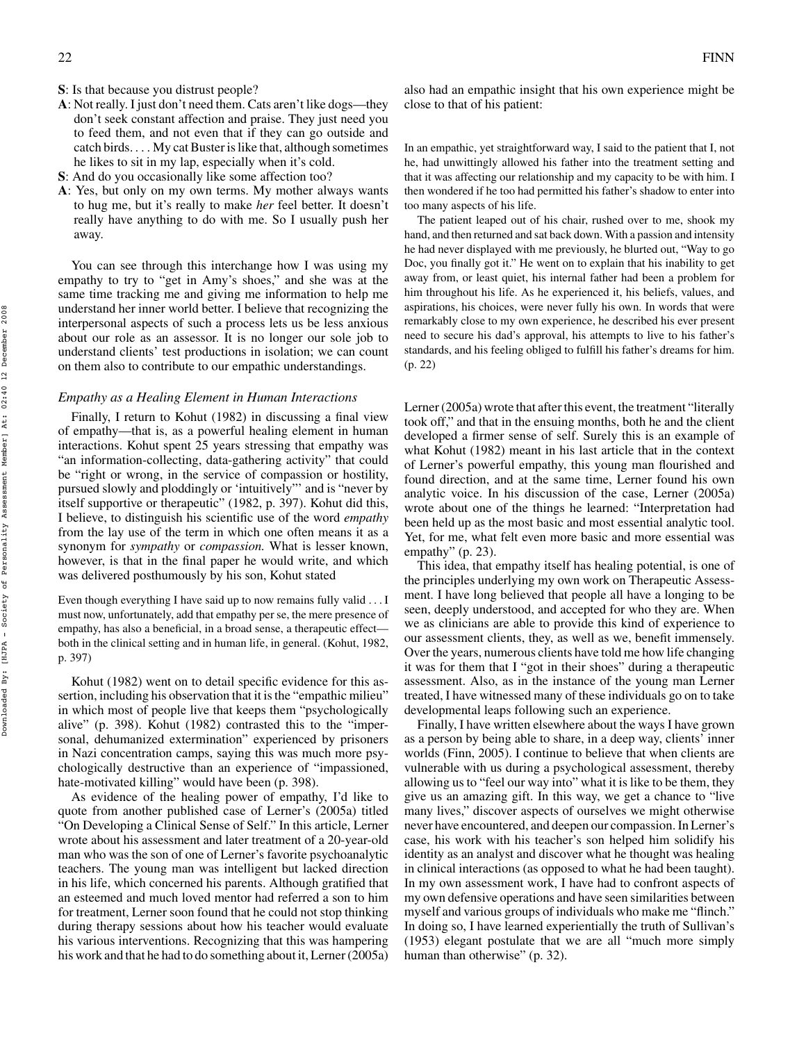- **S**: Is that because you distrust people?
- **A**: Not really. I just don't need them. Cats aren't like dogs—they don't seek constant affection and praise. They just need you to feed them, and not even that if they can go outside and  $catch birds...$  My cat Buster is like that, although sometimes he likes to sit in my lap, especially when it's cold.
- **S**: And do you occasionally like some affection too?
- **A**: Yes, but only on my own terms. My mother always wants to hug me, but it's really to make *her* feel better. It doesn't really have anything to do with me. So I usually push her away.

You can see through this interchange how I was using my empathy to try to "get in Amy's shoes," and she was at the same time tracking me and giving me information to help me understand her inner world better. I believe that recognizing the interpersonal aspects of such a process lets us be less anxious about our role as an assessor. It is no longer our sole job to understand clients' test productions in isolation; we can count on them also to contribute to our empathic understandings.

# *Empathy as a Healing Element in Human Interactions*

Finally, I return to Kohut (1982) in discussing a final view of empathy—that is, as a powerful healing element in human interactions. Kohut spent 25 years stressing that empathy was "an information-collecting, data-gathering activity" that could be "right or wrong, in the service of compassion or hostility, pursued slowly and ploddingly or 'intuitively"' and is "never by itself supportive or therapeutic" (1982, p. 397). Kohut did this, I believe, to distinguish his scientific use of the word *empathy* from the lay use of the term in which one often means it as a synonym for *sympathy* or *compassion.* What is lesser known, however, is that in the final paper he would write, and which was delivered posthumously by his son, Kohut stated

Even though everything I have said up to now remains fully valid . . . I must now, unfortunately, add that empathy per se, the mere presence of empathy, has also a beneficial, in a broad sense, a therapeutic effect both in the clinical setting and in human life, in general. (Kohut, 1982, p. 397)

Kohut (1982) went on to detail specific evidence for this assertion, including his observation that it is the "empathic milieu" in which most of people live that keeps them "psychologically alive" (p. 398). Kohut (1982) contrasted this to the "impersonal, dehumanized extermination" experienced by prisoners in Nazi concentration camps, saying this was much more psychologically destructive than an experience of "impassioned, hate-motivated killing" would have been (p. 398).

As evidence of the healing power of empathy, I'd like to quote from another published case of Lerner's (2005a) titled "On Developing a Clinical Sense of Self." In this article, Lerner wrote about his assessment and later treatment of a 20-year-old man who was the son of one of Lerner's favorite psychoanalytic teachers. The young man was intelligent but lacked direction in his life, which concerned his parents. Although gratified that an esteemed and much loved mentor had referred a son to him for treatment, Lerner soon found that he could not stop thinking during therapy sessions about how his teacher would evaluate his various interventions. Recognizing that this was hampering his work and that he had to do something about it, Lerner (2005a) also had an empathic insight that his own experience might be close to that of his patient:

In an empathic, yet straightforward way, I said to the patient that I, not he, had unwittingly allowed his father into the treatment setting and that it was affecting our relationship and my capacity to be with him. I then wondered if he too had permitted his father's shadow to enter into too many aspects of his life.

The patient leaped out of his chair, rushed over to me, shook my hand, and then returned and sat back down. With a passion and intensity he had never displayed with me previously, he blurted out, "Way to go Doc, you finally got it." He went on to explain that his inability to get away from, or least quiet, his internal father had been a problem for him throughout his life. As he experienced it, his beliefs, values, and aspirations, his choices, were never fully his own. In words that were remarkably close to my own experience, he described his ever present need to secure his dad's approval, his attempts to live to his father's standards, and his feeling obliged to fulfill his father's dreams for him. (p. 22)

Lerner (2005a) wrote that after this event, the treatment "literally took off," and that in the ensuing months, both he and the client developed a firmer sense of self. Surely this is an example of what Kohut (1982) meant in his last article that in the context of Lerner's powerful empathy, this young man flourished and found direction, and at the same time, Lerner found his own analytic voice. In his discussion of the case, Lerner (2005a) wrote about one of the things he learned: "Interpretation had been held up as the most basic and most essential analytic tool. Yet, for me, what felt even more basic and more essential was empathy" (p. 23).

This idea, that empathy itself has healing potential, is one of the principles underlying my own work on Therapeutic Assessment. I have long believed that people all have a longing to be seen, deeply understood, and accepted for who they are. When we as clinicians are able to provide this kind of experience to our assessment clients, they, as well as we, benefit immensely. Over the years, numerous clients have told me how life changing it was for them that I "got in their shoes" during a therapeutic assessment. Also, as in the instance of the young man Lerner treated, I have witnessed many of these individuals go on to take developmental leaps following such an experience.

Finally, I have written elsewhere about the ways I have grown as a person by being able to share, in a deep way, clients' inner worlds (Finn, 2005). I continue to believe that when clients are vulnerable with us during a psychological assessment, thereby allowing us to "feel our way into" what it is like to be them, they give us an amazing gift. In this way, we get a chance to "live many lives," discover aspects of ourselves we might otherwise never have encountered, and deepen our compassion.In Lerner's case, his work with his teacher's son helped him solidify his identity as an analyst and discover what he thought was healing in clinical interactions (as opposed to what he had been taught). In my own assessment work, I have had to confront aspects of my own defensive operations and have seen similarities between myself and various groups of individuals who make me "flinch." In doing so, I have learned experientially the truth of Sullivan's (1953) elegant postulate that we are all "much more simply human than otherwise" (p. 32).